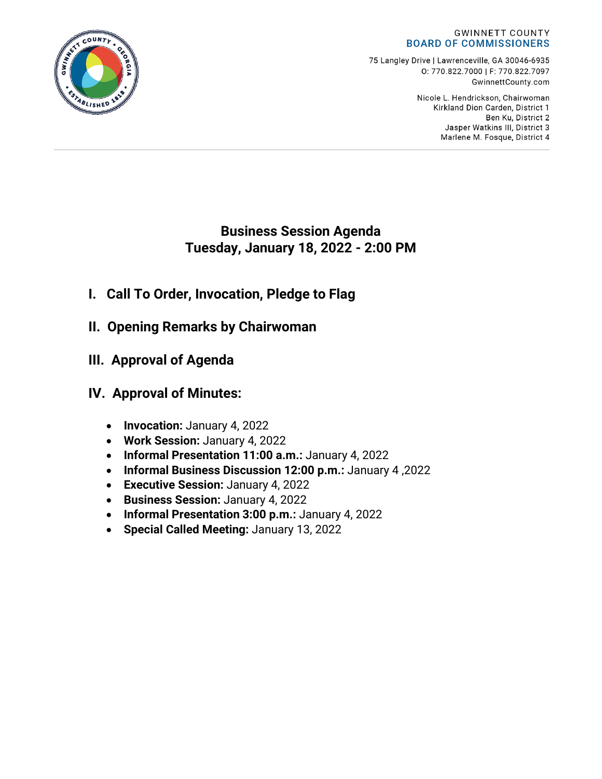#### **GWINNETT COUNTY BOARD OF COMMISSIONERS**

75 Langley Drive | Lawrenceville, GA 30046-6935 0:770.822.7000 | F: 770.822.7097 GwinnettCounty.com

> Nicole L. Hendrickson, Chairwoman Kirkland Dion Carden, District 1 Ben Ku. District 2 Jasper Watkins III, District 3 Marlene M. Fosque, District 4

## **Business Session Agenda Tuesday, January 18, 2022 - 2:00 PM**

- **I. Call To Order, Invocation, Pledge to Flag**
- **II. Opening Remarks by Chairwoman**
- **III. Approval of Agenda**

# **IV. Approval of Minutes:**

- **Invocation:** January 4, 2022
- **Work Session:** January 4, 2022
- **Informal Presentation 11:00 a.m.:** January 4, 2022
- **Informal Business Discussion 12:00 p.m.:** January 4 ,2022
- **Executive Session:** January 4, 2022
- **Business Session:** January 4, 2022
- **Informal Presentation 3:00 p.m.:** January 4, 2022
- **Special Called Meeting:** January 13, 2022

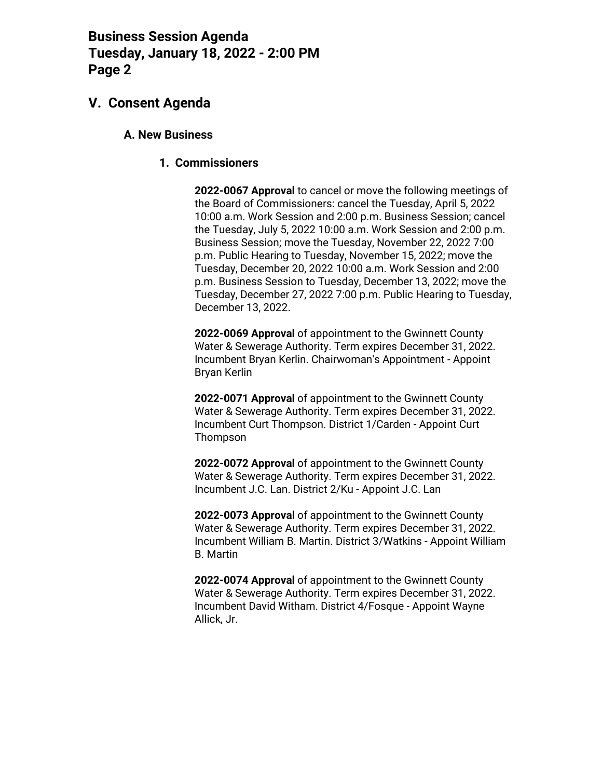## **V. Consent Agenda**

### **A. New Business**

### **1. Commissioners**

**2022-0067 Approval** to cancel or move the following meetings of the Board of Commissioners: cancel the Tuesday, April 5, 2022 10:00 a.m. Work Session and 2:00 p.m. Business Session; cancel the Tuesday, July 5, 2022 10:00 a.m. Work Session and 2:00 p.m. Business Session; move the Tuesday, November 22, 2022 7:00 p.m. Public Hearing to Tuesday, November 15, 2022; move the Tuesday, December 20, 2022 10:00 a.m. Work Session and 2:00 p.m. Business Session to Tuesday, December 13, 2022; move the Tuesday, December 27, 2022 7:00 p.m. Public Hearing to Tuesday, December 13, 2022.

**2022-0069 Approval** of appointment to the Gwinnett County Water & Sewerage Authority. Term expires December 31, 2022. Incumbent Bryan Kerlin. Chairwoman's Appointment - Appoint Bryan Kerlin

**2022-0071 Approval** of appointment to the Gwinnett County Water & Sewerage Authority. Term expires December 31, 2022. Incumbent Curt Thompson. District 1/Carden - Appoint Curt Thompson

**2022-0072 Approval** of appointment to the Gwinnett County Water & Sewerage Authority. Term expires December 31, 2022. Incumbent J.C. Lan. District 2/Ku - Appoint J.C. Lan

**2022-0073 Approval** of appointment to the Gwinnett County Water & Sewerage Authority. Term expires December 31, 2022. Incumbent William B. Martin. District 3/Watkins - Appoint William B. Martin

**2022-0074 Approval** of appointment to the Gwinnett County Water & Sewerage Authority. Term expires December 31, 2022. Incumbent David Witham. District 4/Fosque - Appoint Wayne Allick, Jr.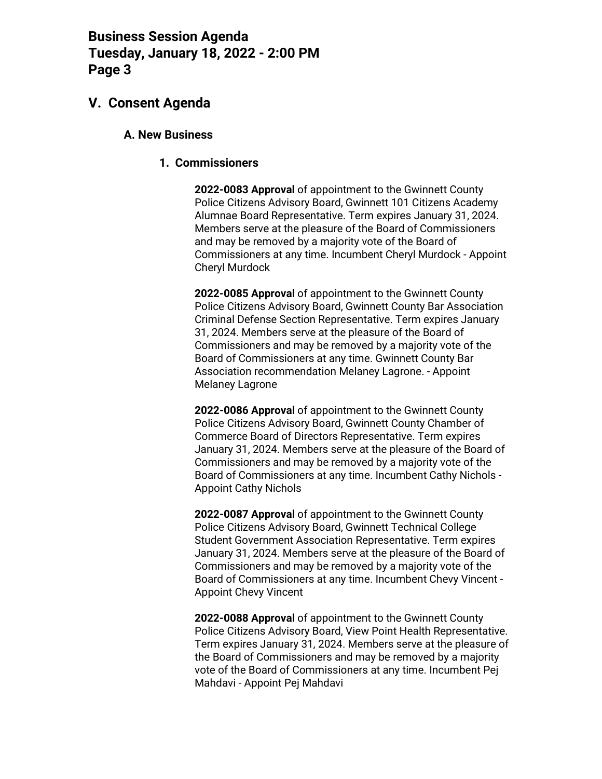### **V. Consent Agenda**

### **A. New Business**

### **1. Commissioners**

**2022-0083 Approval** of appointment to the Gwinnett County Police Citizens Advisory Board, Gwinnett 101 Citizens Academy Alumnae Board Representative. Term expires January 31, 2024. Members serve at the pleasure of the Board of Commissioners and may be removed by a majority vote of the Board of Commissioners at any time. Incumbent Cheryl Murdock - Appoint Cheryl Murdock

**2022-0085 Approval** of appointment to the Gwinnett County Police Citizens Advisory Board, Gwinnett County Bar Association Criminal Defense Section Representative. Term expires January 31, 2024. Members serve at the pleasure of the Board of Commissioners and may be removed by a majority vote of the Board of Commissioners at any time. Gwinnett County Bar Association recommendation Melaney Lagrone. - Appoint Melaney Lagrone

**2022-0086 Approval** of appointment to the Gwinnett County Police Citizens Advisory Board, Gwinnett County Chamber of Commerce Board of Directors Representative. Term expires January 31, 2024. Members serve at the pleasure of the Board of Commissioners and may be removed by a majority vote of the Board of Commissioners at any time. Incumbent Cathy Nichols - Appoint Cathy Nichols

**2022-0087 Approval** of appointment to the Gwinnett County Police Citizens Advisory Board, Gwinnett Technical College Student Government Association Representative. Term expires January 31, 2024. Members serve at the pleasure of the Board of Commissioners and may be removed by a majority vote of the Board of Commissioners at any time. Incumbent Chevy Vincent - Appoint Chevy Vincent

**2022-0088 Approval** of appointment to the Gwinnett County Police Citizens Advisory Board, View Point Health Representative. Term expires January 31, 2024. Members serve at the pleasure of the Board of Commissioners and may be removed by a majority vote of the Board of Commissioners at any time. Incumbent Pej Mahdavi - Appoint Pej Mahdavi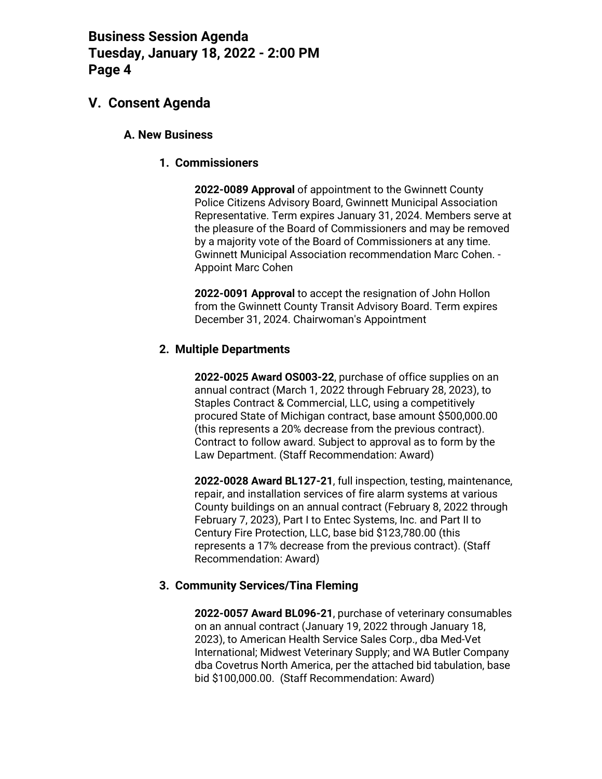## **V. Consent Agenda**

### **A. New Business**

### **1. Commissioners**

**2022-0089 Approval** of appointment to the Gwinnett County Police Citizens Advisory Board, Gwinnett Municipal Association Representative. Term expires January 31, 2024. Members serve at the pleasure of the Board of Commissioners and may be removed by a majority vote of the Board of Commissioners at any time. Gwinnett Municipal Association recommendation Marc Cohen. - Appoint Marc Cohen

**2022-0091 Approval** to accept the resignation of John Hollon from the Gwinnett County Transit Advisory Board. Term expires December 31, 2024. Chairwoman's Appointment

### **2. Multiple Departments**

**2022-0025 Award OS003-22**, purchase of office supplies on an annual contract (March 1, 2022 through February 28, 2023), to Staples Contract & Commercial, LLC, using a competitively procured State of Michigan contract, base amount \$500,000.00 (this represents a 20% decrease from the previous contract). Contract to follow award. Subject to approval as to form by the Law Department. (Staff Recommendation: Award)

**2022-0028 Award BL127-21**, full inspection, testing, maintenance, repair, and installation services of fire alarm systems at various County buildings on an annual contract (February 8, 2022 through February 7, 2023), Part I to Entec Systems, Inc. and Part II to Century Fire Protection, LLC, base bid \$123,780.00 (this represents a 17% decrease from the previous contract). (Staff Recommendation: Award)

### **3. Community Services/Tina Fleming**

**2022-0057 Award BL096-21**, purchase of veterinary consumables on an annual contract (January 19, 2022 through January 18, 2023), to American Health Service Sales Corp., dba Med-Vet International; Midwest Veterinary Supply; and WA Butler Company dba Covetrus North America, per the attached bid tabulation, base bid \$100,000.00. (Staff Recommendation: Award)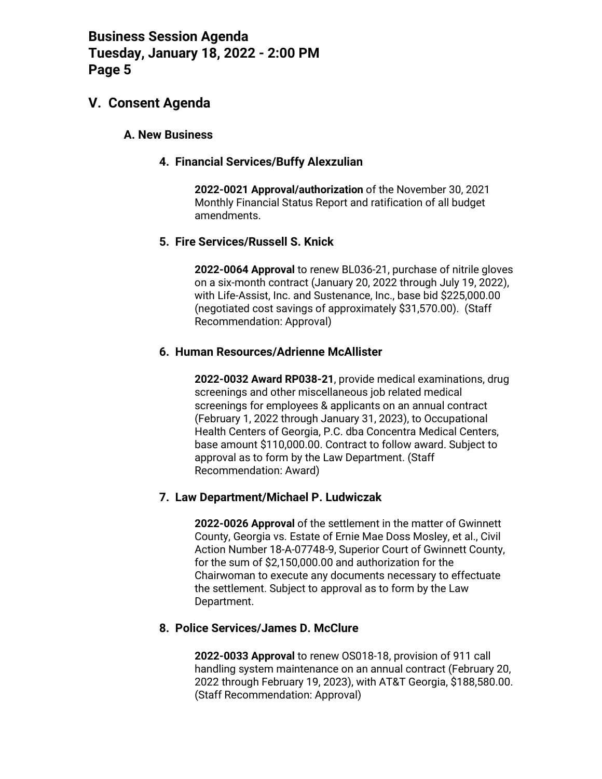### **V. Consent Agenda**

### **A. New Business**

### **4. Financial Services/Buffy Alexzulian**

**2022-0021 Approval/authorization** of the November 30, 2021 Monthly Financial Status Report and ratification of all budget amendments.

### **5. Fire Services/Russell S. Knick**

**2022-0064 Approval** to renew BL036-21, purchase of nitrile gloves on a six-month contract (January 20, 2022 through July 19, 2022), with Life-Assist, Inc. and Sustenance, Inc., base bid \$225,000.00 (negotiated cost savings of approximately \$31,570.00). (Staff Recommendation: Approval)

### **6. Human Resources/Adrienne McAllister**

**2022-0032 Award RP038-21**, provide medical examinations, drug screenings and other miscellaneous job related medical screenings for employees & applicants on an annual contract (February 1, 2022 through January 31, 2023), to Occupational Health Centers of Georgia, P.C. dba Concentra Medical Centers, base amount \$110,000.00. Contract to follow award. Subject to approval as to form by the Law Department. (Staff Recommendation: Award)

### **7. Law Department/Michael P. Ludwiczak**

**2022-0026 Approval** of the settlement in the matter of Gwinnett County, Georgia vs. Estate of Ernie Mae Doss Mosley, et al., Civil Action Number 18-A-07748-9, Superior Court of Gwinnett County, for the sum of \$2,150,000.00 and authorization for the Chairwoman to execute any documents necessary to effectuate the settlement. Subject to approval as to form by the Law Department.

### **8. Police Services/James D. McClure**

**2022-0033 Approval** to renew OS018-18, provision of 911 call handling system maintenance on an annual contract (February 20, 2022 through February 19, 2023), with AT&T Georgia, \$188,580.00. (Staff Recommendation: Approval)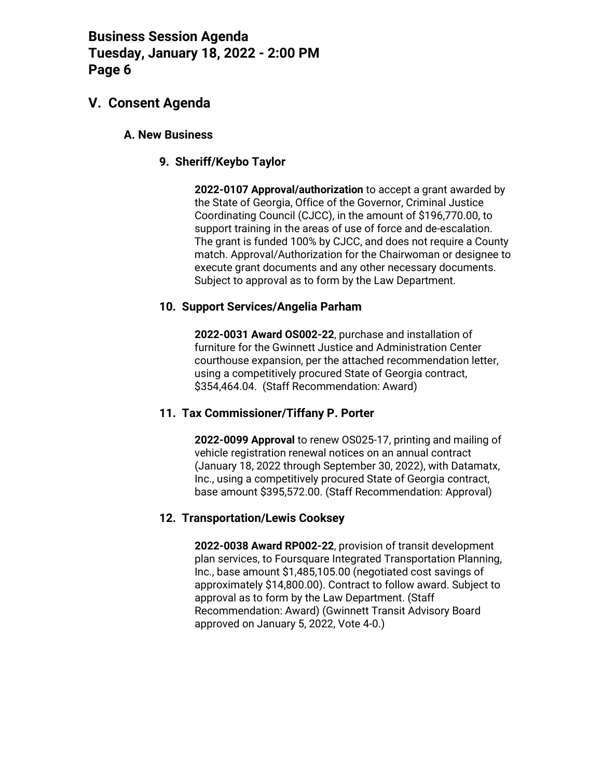## **V. Consent Agenda**

### **A. New Business**

### **9. Sheriff/Keybo Taylor**

**2022-0107 Approval/authorization** to accept a grant awarded by the State of Georgia, Office of the Governor, Criminal Justice Coordinating Council (CJCC), in the amount of \$196,770.00, to support training in the areas of use of force and de-escalation. The grant is funded 100% by CJCC, and does not require a County match. Approval/Authorization for the Chairwoman or designee to execute grant documents and any other necessary documents. Subject to approval as to form by the Law Department.

### **10. Support Services/Angelia Parham**

**2022-0031 Award OS002-22**, purchase and installation of furniture for the Gwinnett Justice and Administration Center courthouse expansion, per the attached recommendation letter, using a competitively procured State of Georgia contract, \$354,464.04. (Staff Recommendation: Award)

### **11. Tax Commissioner/Tiffany P. Porter**

**2022-0099 Approval** to renew OS025-17, printing and mailing of vehicle registration renewal notices on an annual contract (January 18, 2022 through September 30, 2022), with Datamatx, Inc., using a competitively procured State of Georgia contract, base amount \$395,572.00. (Staff Recommendation: Approval)

### **12. Transportation/Lewis Cooksey**

**2022-0038 Award RP002-22**, provision of transit development plan services, to Foursquare Integrated Transportation Planning, Inc., base amount \$1,485,105.00 (negotiated cost savings of approximately \$14,800.00). Contract to follow award. Subject to approval as to form by the Law Department. (Staff Recommendation: Award) (Gwinnett Transit Advisory Board approved on January 5, 2022, Vote 4-0.)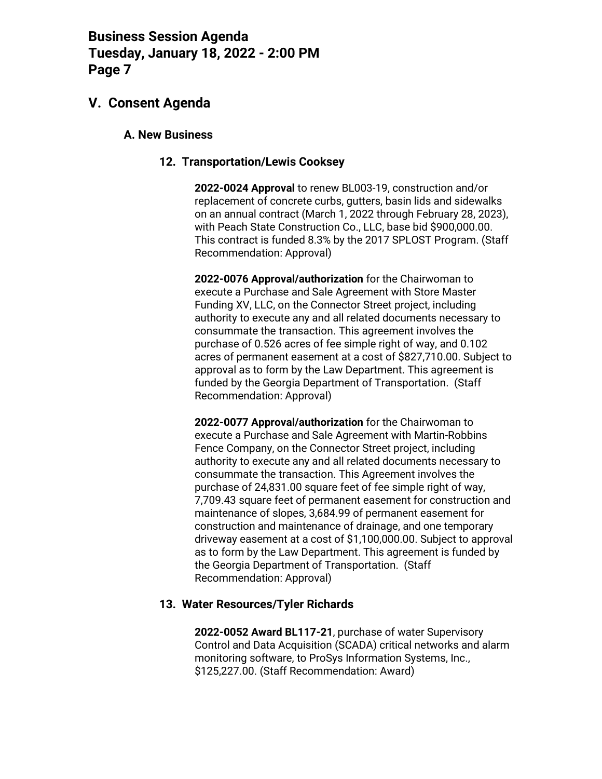## **V. Consent Agenda**

#### **A. New Business**

#### **12. Transportation/Lewis Cooksey**

**2022-0024 Approval** to renew BL003-19, construction and/or replacement of concrete curbs, gutters, basin lids and sidewalks on an annual contract (March 1, 2022 through February 28, 2023), with Peach State Construction Co., LLC, base bid \$900,000.00. This contract is funded 8.3% by the 2017 SPLOST Program. (Staff Recommendation: Approval)

**2022-0076 Approval/authorization** for the Chairwoman to execute a Purchase and Sale Agreement with Store Master Funding XV, LLC, on the Connector Street project, including authority to execute any and all related documents necessary to consummate the transaction. This agreement involves the purchase of 0.526 acres of fee simple right of way, and 0.102 acres of permanent easement at a cost of \$827,710.00. Subject to approval as to form by the Law Department. This agreement is funded by the Georgia Department of Transportation. (Staff Recommendation: Approval)

**2022-0077 Approval/authorization** for the Chairwoman to execute a Purchase and Sale Agreement with Martin-Robbins Fence Company, on the Connector Street project, including authority to execute any and all related documents necessary to consummate the transaction. This Agreement involves the purchase of 24,831.00 square feet of fee simple right of way, 7,709.43 square feet of permanent easement for construction and maintenance of slopes, 3,684.99 of permanent easement for construction and maintenance of drainage, and one temporary driveway easement at a cost of \$1,100,000.00. Subject to approval as to form by the Law Department. This agreement is funded by the Georgia Department of Transportation. (Staff Recommendation: Approval)

### **13. Water Resources/Tyler Richards**

**2022-0052 Award BL117-21**, purchase of water Supervisory Control and Data Acquisition (SCADA) critical networks and alarm monitoring software, to ProSys Information Systems, Inc., \$125,227.00. (Staff Recommendation: Award)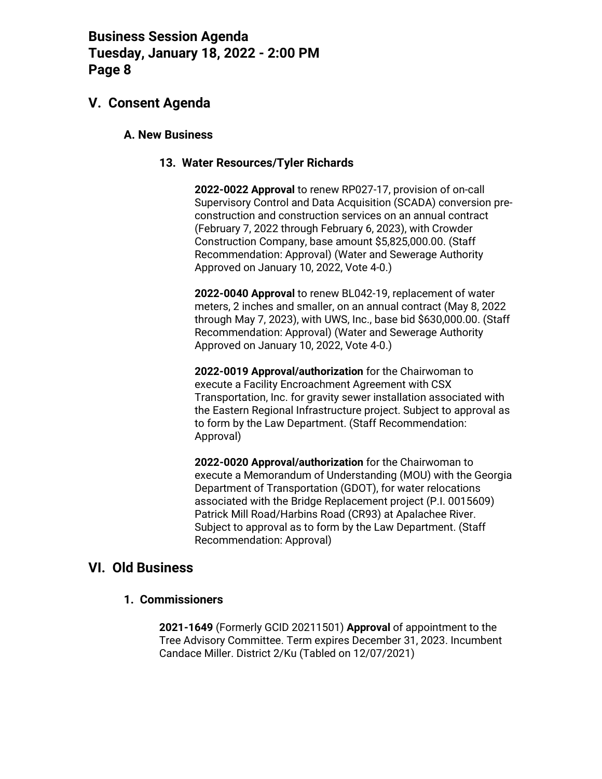## **V. Consent Agenda**

### **A. New Business**

#### **13. Water Resources/Tyler Richards**

**2022-0022 Approval** to renew RP027-17, provision of on-call Supervisory Control and Data Acquisition (SCADA) conversion preconstruction and construction services on an annual contract (February 7, 2022 through February 6, 2023), with Crowder Construction Company, base amount \$5,825,000.00. (Staff Recommendation: Approval) (Water and Sewerage Authority Approved on January 10, 2022, Vote 4-0.)

**2022-0040 Approval** to renew BL042-19, replacement of water meters, 2 inches and smaller, on an annual contract (May 8, 2022 through May 7, 2023), with UWS, Inc., base bid \$630,000.00. (Staff Recommendation: Approval) (Water and Sewerage Authority Approved on January 10, 2022, Vote 4-0.)

**2022-0019 Approval/authorization** for the Chairwoman to execute a Facility Encroachment Agreement with CSX Transportation, Inc. for gravity sewer installation associated with the Eastern Regional Infrastructure project. Subject to approval as to form by the Law Department. (Staff Recommendation: Approval)

**2022-0020 Approval/authorization** for the Chairwoman to execute a Memorandum of Understanding (MOU) with the Georgia Department of Transportation (GDOT), for water relocations associated with the Bridge Replacement project (P.I. 0015609) Patrick Mill Road/Harbins Road (CR93) at Apalachee River. Subject to approval as to form by the Law Department. (Staff Recommendation: Approval)

### **VI. Old Business**

### **1. Commissioners**

**2021-1649** (Formerly GCID 20211501) **Approval** of appointment to the Tree Advisory Committee. Term expires December 31, 2023. Incumbent Candace Miller. District 2/Ku (Tabled on 12/07/2021)